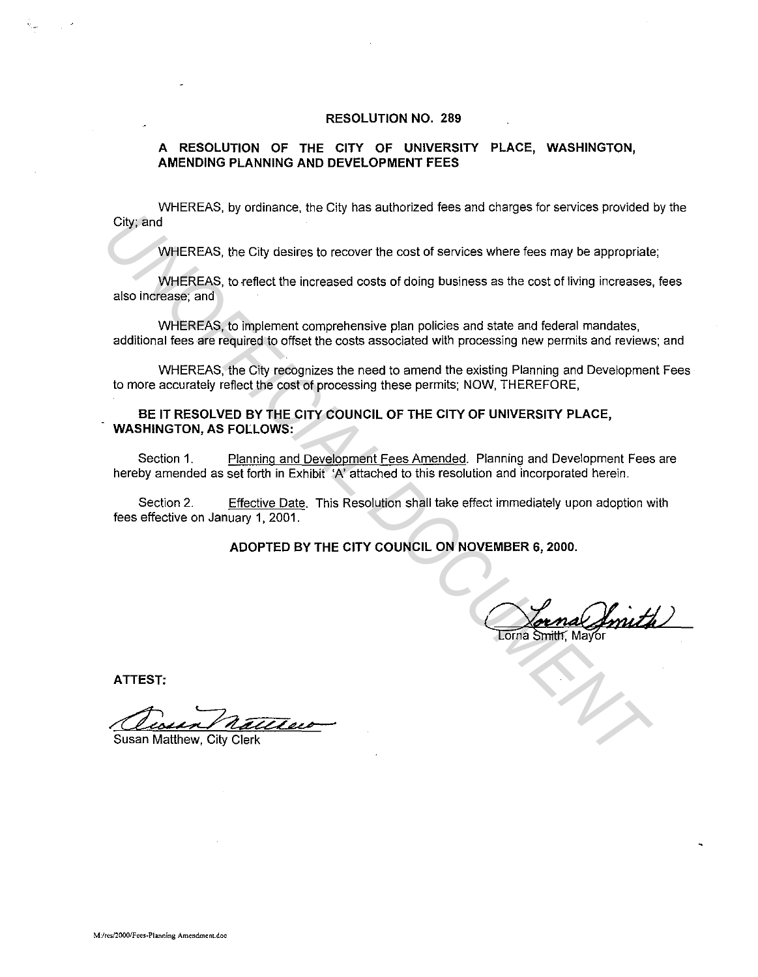#### **RESOLUTION NO. 289**

#### **A RESOLUTION OF THE CITY OF UNIVERSITY PLACE, WASHINGTON, AMENDING PLANNING AND DEVELOPMENT FEES**

WHEREAS, by ordinance. the City has authorized fees and charges for services provided by the City; and

WHEREAS, the City desires to recover the cost of services where fees may be appropriate;

WHEREAS. to reflect the increased costs of doing business as the cost of living increases, fees also increase; and

WHEREAS, to implement comprehensive plan policies and state and federal mandates, additional fees are required to offset the costs associated with processing new permits and reviews; and

WHEREAS, the City recognizes the need to amend the existing Planning and Development Fees to more accurately reflect the cost of processing these permits; NOW, THEREFORE,

#### **BE IT RESOLVED BY THE CITY COUNCIL OF THE CITY OF UNIVERSITY PLACE, WASHINGTON, AS FOLLOWS:**

Section 1. Planning and Development Fees Amended. Planning and Development Fees are hereby amended as set forth in Exhibit 'A' attached to this resolution and incorporated herein. City, and<br>
WHEREAS, the City desires to recover the cost of services where fees may be appropriate<br>
WHEREAS, to reflect the increased costs of doing business as the cost of living increases,<br>
and increases, and<br>
WHEREAS, t

Section 2. Effective Date. This Resolution shall take effect immediately upon adoption with fees effective on January 1, 2001.

**ADOPTED BY THE CITY COUNCIL ON NOVEMBER 6, 2000.** 

**ATTEST:**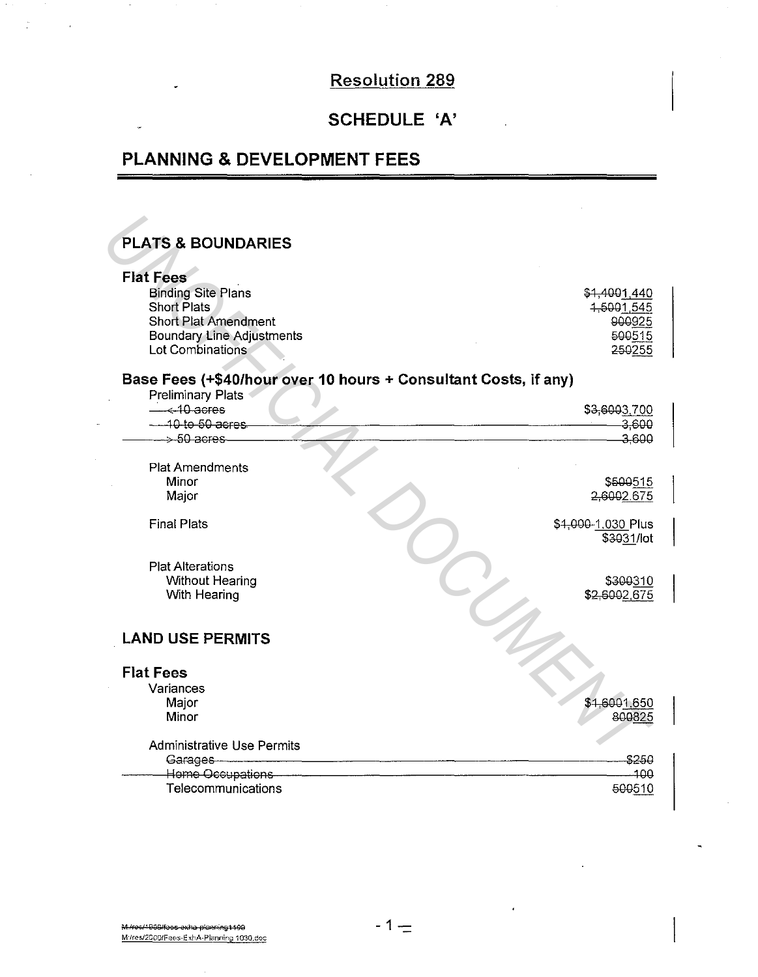# **Resolution 289**

## SCHEDULE 'A'

# **PLANNING & DEVELOPMENT FEES**

## **PLATS & BOUNDARIES**

 $\mathbf{v}$ 

 $\overline{\phantom{a}}$ 

 $\sim$   $^{-1}$ 

| <b>Flat Fees</b>                                                |                    |
|-----------------------------------------------------------------|--------------------|
| <b>Binding Site Plans</b>                                       | \$1,4001,440       |
| <b>Short Plats</b>                                              | 4,5001,545         |
| <b>Short Plat Amendment</b>                                     | 900925             |
| <b>Boundary Line Adjustments</b>                                | 500515             |
| Lot Combinations                                                | 250255             |
|                                                                 |                    |
| Base Fees (+\$40/hour over 10 hours + Consultant Costs, if any) |                    |
| <b>Preliminary Plats</b>                                        |                    |
| $\leftarrow$ 10 acres                                           | \$3,6003,700       |
| $-40$ to 50 acres                                               | 3,600              |
| $\rightarrow$ 50 acres                                          | 3,600              |
| <b>Plat Amendments</b>                                          |                    |
| Minor                                                           | \$500515           |
| Major                                                           | 2,6002.675         |
|                                                                 |                    |
| <b>Final Plats</b>                                              | \$4,000-1,030 Plus |
|                                                                 | \$3031/lot         |
|                                                                 |                    |
| <b>Plat Alterations</b>                                         |                    |
| <b>Without Hearing</b>                                          | \$300310           |
| With Hearing                                                    | \$2,6002,675       |
|                                                                 |                    |
| <b>LAND USE PERMITS</b>                                         |                    |
|                                                                 |                    |
|                                                                 |                    |
| <b>Flat Fees</b>                                                |                    |
| Variances                                                       |                    |
| Major                                                           | \$4,6001.650       |
| Minor                                                           | 800825             |
| <b>Administrative Use Permits</b>                               |                    |
| Garages                                                         | \$250              |
| Home Occupations                                                | 100                |
| Telecommunications                                              | 500510             |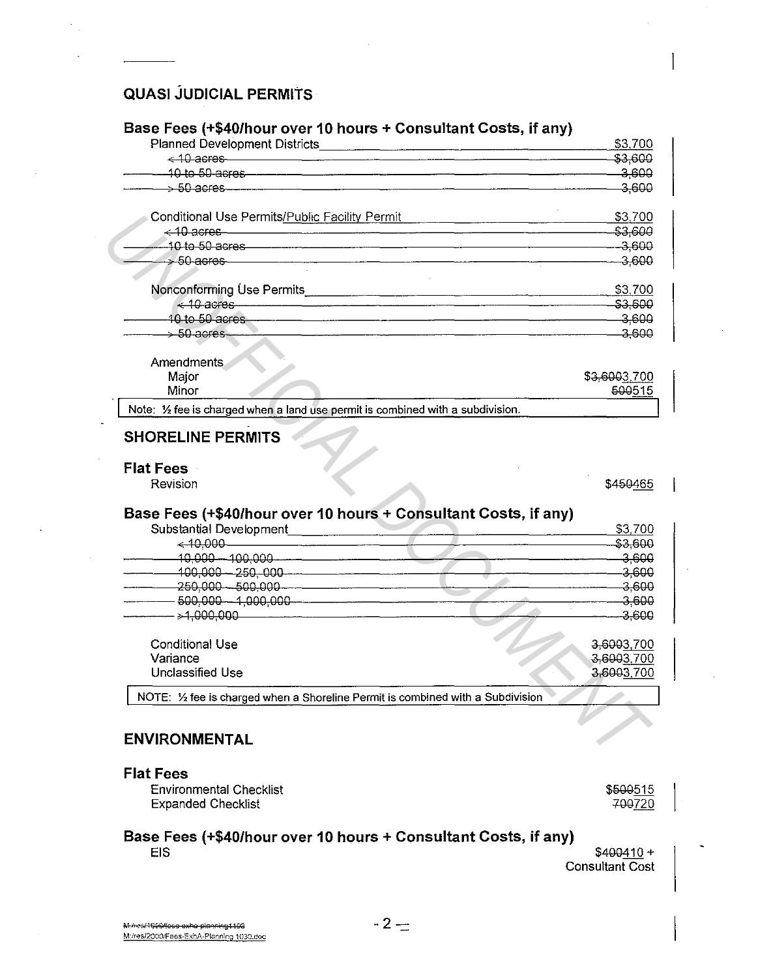### **QUASI JUDICIAL PERMITS**

#### Base Fees (+\$40/hour over 10 hours + Consultant Costs, if any)

|                                                                                                                                                                                                                                | \$3,700      |
|--------------------------------------------------------------------------------------------------------------------------------------------------------------------------------------------------------------------------------|--------------|
| $\leq$ 10 acres                                                                                                                                                                                                                | \$3,600      |
|                                                                                                                                                                                                                                | $-3,600$     |
|                                                                                                                                                                                                                                | $-3,600$     |
| Conditional Use Permits/Public Facility Permit Conditional Conditional Conditional Conditional Conditional Conditional Conditional Conditional Conditional Conditional Conditional Conditional Conditional Conditional Conditi | \$3,700      |
|                                                                                                                                                                                                                                | $-$ \$3,600  |
| - 10 to 50 acres - <u>2000 and 2000 and 2000 and 2000 and 2000 and 2000 and 2000 and 2000 and 2000 and 2000 and 2000</u>                                                                                                       |              |
| $\rightarrow$ 50 acres 3,600                                                                                                                                                                                                   |              |
|                                                                                                                                                                                                                                | \$3,700      |
| $\leq$ 10 acres $\sim$ 53,600                                                                                                                                                                                                  |              |
|                                                                                                                                                                                                                                |              |
| $\rightarrow$ 50 acres 3,600                                                                                                                                                                                                   |              |
| Amendments                                                                                                                                                                                                                     |              |
| Major                                                                                                                                                                                                                          | \$3,6003,700 |
| Minor                                                                                                                                                                                                                          | 500515       |
| Note: 1/2 fee is charged when a land use permit is combined with a subdivision.                                                                                                                                                |              |
| <b>SHORELINE PERMITS</b>                                                                                                                                                                                                       |              |
| <b>Flat Fees</b>                                                                                                                                                                                                               |              |
| Revision                                                                                                                                                                                                                       | \$450465     |
| Base Fees (+\$40/hour over 10 hours + Consultant Costs, if any)                                                                                                                                                                |              |
| Substantial Development<br>< 10,000                                                                                                                                                                                            | \$3,700      |
|                                                                                                                                                                                                                                | $-$ \$3,600  |
| $\frac{10,000}{3,600}$ 3.600                                                                                                                                                                                                   |              |
|                                                                                                                                                                                                                                |              |
| $-250,000 - 500,000$                                                                                                                                                                                                           |              |
|                                                                                                                                                                                                                                | $-$ 3.600    |
|                                                                                                                                                                                                                                | $-3,600$     |
| <b>Conditional Use</b>                                                                                                                                                                                                         | 3,6003,700   |
| Variance                                                                                                                                                                                                                       | 3,6003,700   |
| <b>Unclassified Use</b>                                                                                                                                                                                                        | 3,6003,700   |
|                                                                                                                                                                                                                                |              |
| NOTE: 1/2 fee is charged when a Shoreline Permit is combined with a Subdivision                                                                                                                                                |              |

#### **ENVIRONMENTAL**

**Environmental Checklist Expanded Checklist** 

\$500515 700720

#### Base Fees (+\$40/hour over 10 hours + Consultant Costs, if any) **EIS**

 $$400410 +$ Consultant Cost